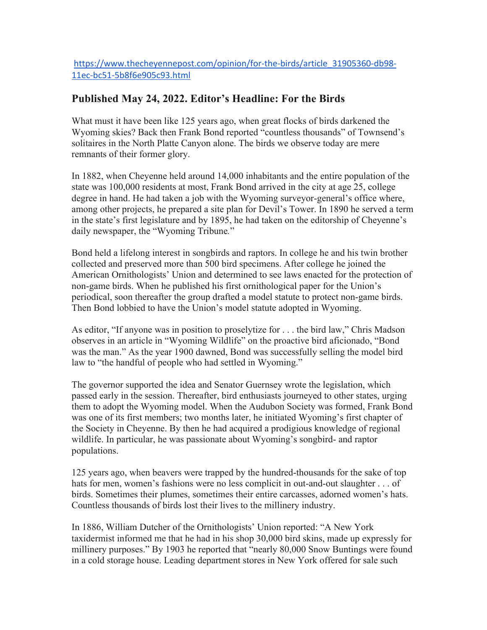## **Published May 24, 2022. Editor's Headline: For the Birds**

What must it have been like 125 years ago, when great flocks of birds darkened the Wyoming skies? Back then Frank Bond reported "countless thousands" of Townsend's solitaires in the North Platte Canyon alone. The birds we observe today are mere remnants of their former glory.

In 1882, when Cheyenne held around 14,000 inhabitants and the entire population of the state was 100,000 residents at most, Frank Bond arrived in the city at age 25, college degree in hand. He had taken a job with the Wyoming surveyor-general's office where, among other projects, he prepared a site plan for Devil's Tower. In 1890 he served a term in the state's first legislature and by 1895, he had taken on the editorship of Cheyenne's daily newspaper, the "Wyoming Tribune*.*"

Bond held a lifelong interest in songbirds and raptors. In college he and his twin brother collected and preserved more than 500 bird specimens. After college he joined the American Ornithologists' Union and determined to see laws enacted for the protection of non-game birds. When he published his first ornithological paper for the Union's periodical, soon thereafter the group drafted a model statute to protect non-game birds. Then Bond lobbied to have the Union's model statute adopted in Wyoming.

As editor, "If anyone was in position to proselytize for . . . the bird law," Chris Madson observes in an article in "Wyoming Wildlife" on the proactive bird aficionado, "Bond was the man." As the year 1900 dawned, Bond was successfully selling the model bird law to "the handful of people who had settled in Wyoming."

The governor supported the idea and Senator Guernsey wrote the legislation, which passed early in the session. Thereafter, bird enthusiasts journeyed to other states, urging them to adopt the Wyoming model. When the Audubon Society was formed, Frank Bond was one of its first members; two months later, he initiated Wyoming's first chapter of the Society in Cheyenne. By then he had acquired a prodigious knowledge of regional wildlife. In particular, he was passionate about Wyoming's songbird- and raptor populations.

125 years ago, when beavers were trapped by the hundred-thousands for the sake of top hats for men, women's fashions were no less complicit in out-and-out slaughter . . . of birds. Sometimes their plumes, sometimes their entire carcasses, adorned women's hats. Countless thousands of birds lost their lives to the millinery industry.

In 1886, William Dutcher of the Ornithologists' Union reported: "A New York taxidermist informed me that he had in his shop 30,000 bird skins, made up expressly for millinery purposes." By 1903 he reported that "nearly 80,000 Snow Buntings were found in a cold storage house. Leading department stores in New York offered for sale such